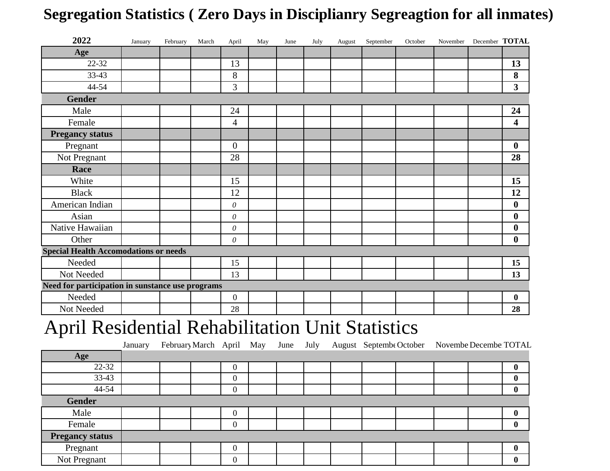## **Segregation Statistics ( Zero Days in Disciplianry Segreagtion for all inmates)**

| 2022                                             | January | February | March | April          | May | June | July | August | September | October | November December TOTAL |                         |
|--------------------------------------------------|---------|----------|-------|----------------|-----|------|------|--------|-----------|---------|-------------------------|-------------------------|
| Age                                              |         |          |       |                |     |      |      |        |           |         |                         |                         |
| 22-32                                            |         |          |       | 13             |     |      |      |        |           |         |                         | 13                      |
| 33-43                                            |         |          |       | 8              |     |      |      |        |           |         |                         | 8                       |
| 44-54                                            |         |          |       | 3              |     |      |      |        |           |         |                         | $\mathbf{3}$            |
| <b>Gender</b>                                    |         |          |       |                |     |      |      |        |           |         |                         |                         |
| Male                                             |         |          |       | 24             |     |      |      |        |           |         |                         | 24                      |
| Female                                           |         |          |       | $\overline{4}$ |     |      |      |        |           |         |                         | $\overline{\mathbf{4}}$ |
| <b>Pregancy status</b>                           |         |          |       |                |     |      |      |        |           |         |                         |                         |
| Pregnant                                         |         |          |       | $\theta$       |     |      |      |        |           |         |                         | $\boldsymbol{0}$        |
| Not Pregnant                                     |         |          |       | 28             |     |      |      |        |           |         |                         | 28                      |
| Race                                             |         |          |       |                |     |      |      |        |           |         |                         |                         |
| White                                            |         |          |       | 15             |     |      |      |        |           |         |                         | 15                      |
| <b>Black</b>                                     |         |          |       | 12             |     |      |      |        |           |         |                         | 12                      |
| American Indian                                  |         |          |       | $\theta$       |     |      |      |        |           |         |                         | $\boldsymbol{0}$        |
| Asian                                            |         |          |       | $\theta$       |     |      |      |        |           |         |                         | $\boldsymbol{0}$        |
| Native Hawaiian                                  |         |          |       | $\theta$       |     |      |      |        |           |         |                         | $\boldsymbol{0}$        |
| Other                                            |         |          |       | $\theta$       |     |      |      |        |           |         |                         | $\bf{0}$                |
| <b>Special Health Accomodations or needs</b>     |         |          |       |                |     |      |      |        |           |         |                         |                         |
| Needed                                           |         |          |       | 15             |     |      |      |        |           |         |                         | 15                      |
| Not Needed                                       |         |          |       | 13             |     |      |      |        |           |         |                         | 13                      |
| Need for participation in sunstance use programs |         |          |       |                |     |      |      |        |           |         |                         |                         |
| Needed                                           |         |          |       | $\mathbf{0}$   |     |      |      |        |           |         |                         | $\boldsymbol{0}$        |
| Not Needed                                       |         |          |       | 28             |     |      |      |        |           |         |                         | 28                      |

## April Residential Rehabilitation Unit Statistics

|                        | January | February March April May June July August Septembe October |                |  |  |  | Novembe Decembe TOTAL |                  |
|------------------------|---------|------------------------------------------------------------|----------------|--|--|--|-----------------------|------------------|
| Age                    |         |                                                            |                |  |  |  |                       |                  |
| 22-32                  |         |                                                            | $\Omega$       |  |  |  |                       | $\bf{0}$         |
| $33-43$                |         |                                                            | $\overline{0}$ |  |  |  |                       | $\bf{0}$         |
| 44-54                  |         |                                                            | $\theta$       |  |  |  |                       | $\boldsymbol{0}$ |
| <b>Gender</b>          |         |                                                            |                |  |  |  |                       |                  |
| Male                   |         |                                                            | $\theta$       |  |  |  |                       | $\mathbf 0$      |
| Female                 |         |                                                            | $\Omega$       |  |  |  |                       |                  |
| <b>Pregancy status</b> |         |                                                            |                |  |  |  |                       |                  |
| Pregnant               |         |                                                            | $\theta$       |  |  |  |                       | $\mathbf 0$      |
| Not Pregnant           |         |                                                            | 0              |  |  |  |                       | $\boldsymbol{0}$ |